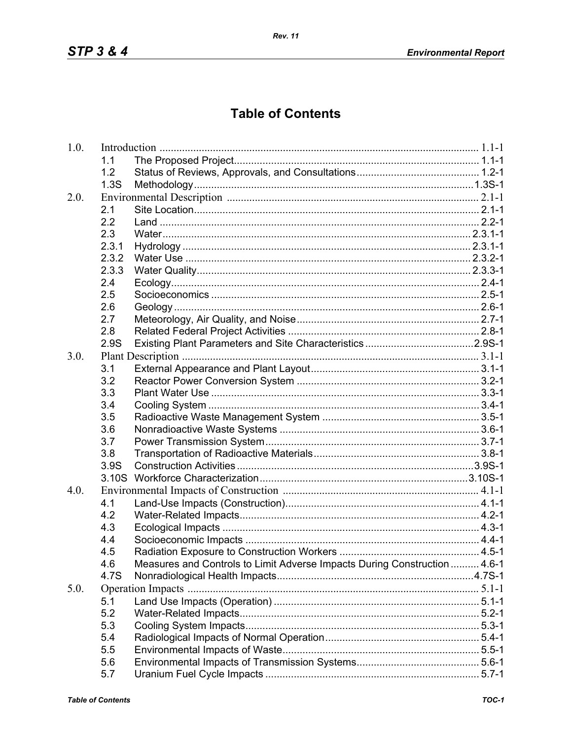## **Table of Contents**

| 1.0. |                   |                                                                           |  |
|------|-------------------|---------------------------------------------------------------------------|--|
|      | 1.1               |                                                                           |  |
|      | 1.2               |                                                                           |  |
|      | 1.3S              |                                                                           |  |
| 2.0. |                   |                                                                           |  |
|      | 2.1               |                                                                           |  |
|      | 2.2               |                                                                           |  |
|      | 2.3               |                                                                           |  |
|      | 2.3.1             |                                                                           |  |
|      | 2.3.2             |                                                                           |  |
|      | 2.3.3             |                                                                           |  |
|      | 2.4               |                                                                           |  |
|      | 2.5               |                                                                           |  |
|      | 2.6               |                                                                           |  |
|      | 2.7               |                                                                           |  |
|      | 2.8               |                                                                           |  |
|      | 2.9S              |                                                                           |  |
| 3.0. |                   |                                                                           |  |
|      | 3.1               |                                                                           |  |
|      | 3.2               |                                                                           |  |
|      | 3.3               |                                                                           |  |
|      | 3.4               |                                                                           |  |
|      | 3.5               |                                                                           |  |
|      | 3.6               |                                                                           |  |
|      | 3.7               |                                                                           |  |
|      | 3.8               |                                                                           |  |
|      | 3.9S              |                                                                           |  |
|      | 3.10 <sub>S</sub> |                                                                           |  |
| 4.0. |                   |                                                                           |  |
|      | 4.1               |                                                                           |  |
|      | 4.2               |                                                                           |  |
|      | 4.3               |                                                                           |  |
|      | 4.4               |                                                                           |  |
|      | 4.5               |                                                                           |  |
|      | 4.6               | Measures and Controls to Limit Adverse Impacts During Construction  4.6-1 |  |
|      | 4.7S              |                                                                           |  |
| 5.0. |                   |                                                                           |  |
|      | 5.1               |                                                                           |  |
|      | 5.2               |                                                                           |  |
|      | 5.3               |                                                                           |  |
|      | 5.4               |                                                                           |  |
|      | 5.5               |                                                                           |  |
|      | 5.6               |                                                                           |  |
|      | 5.7               |                                                                           |  |
|      |                   |                                                                           |  |